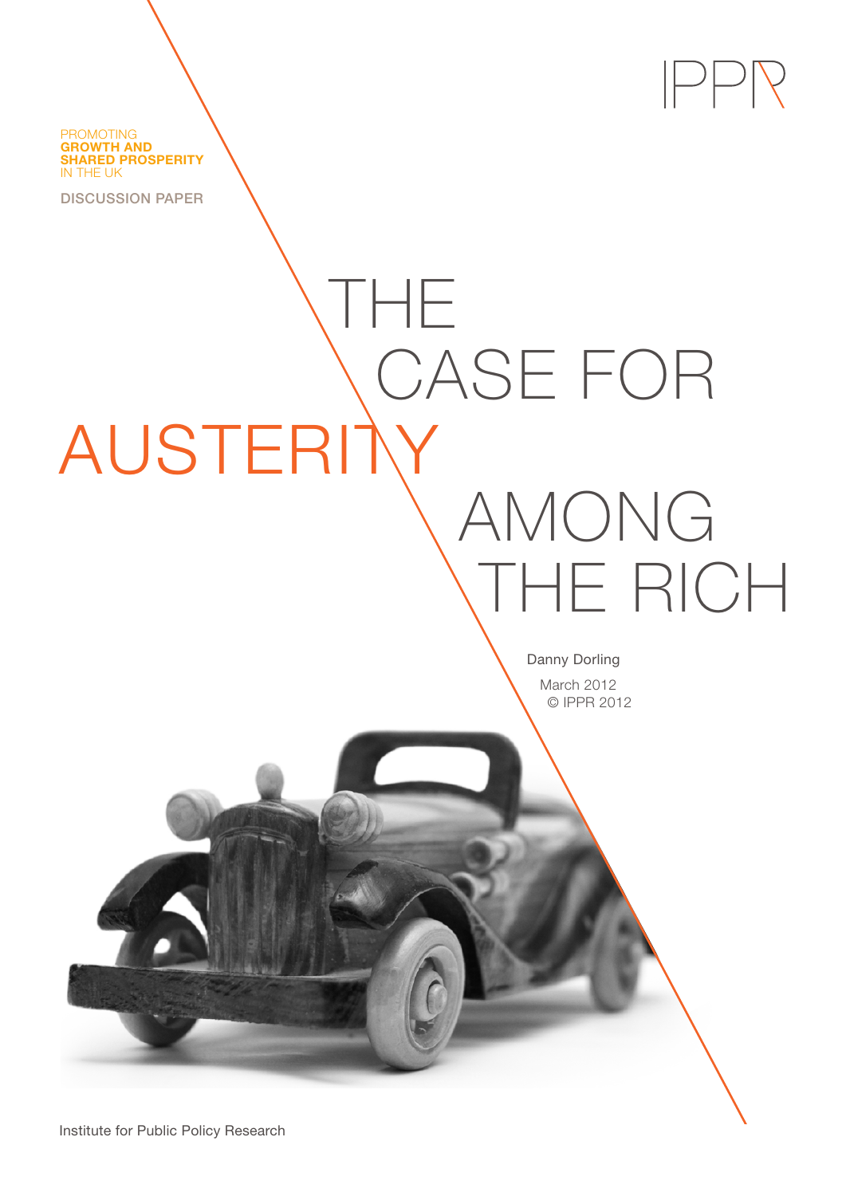PROMOTING **GROWTH AND SHARED PROSPERITY** IN THE UK

DISCUSSION PAPER

AUSTERITY

THE

Danny Dorling March 2012 © IPPR 2012

AMONG

THE RICH

 $PPPR$ 

CASE FOR

Institute for Public Policy Research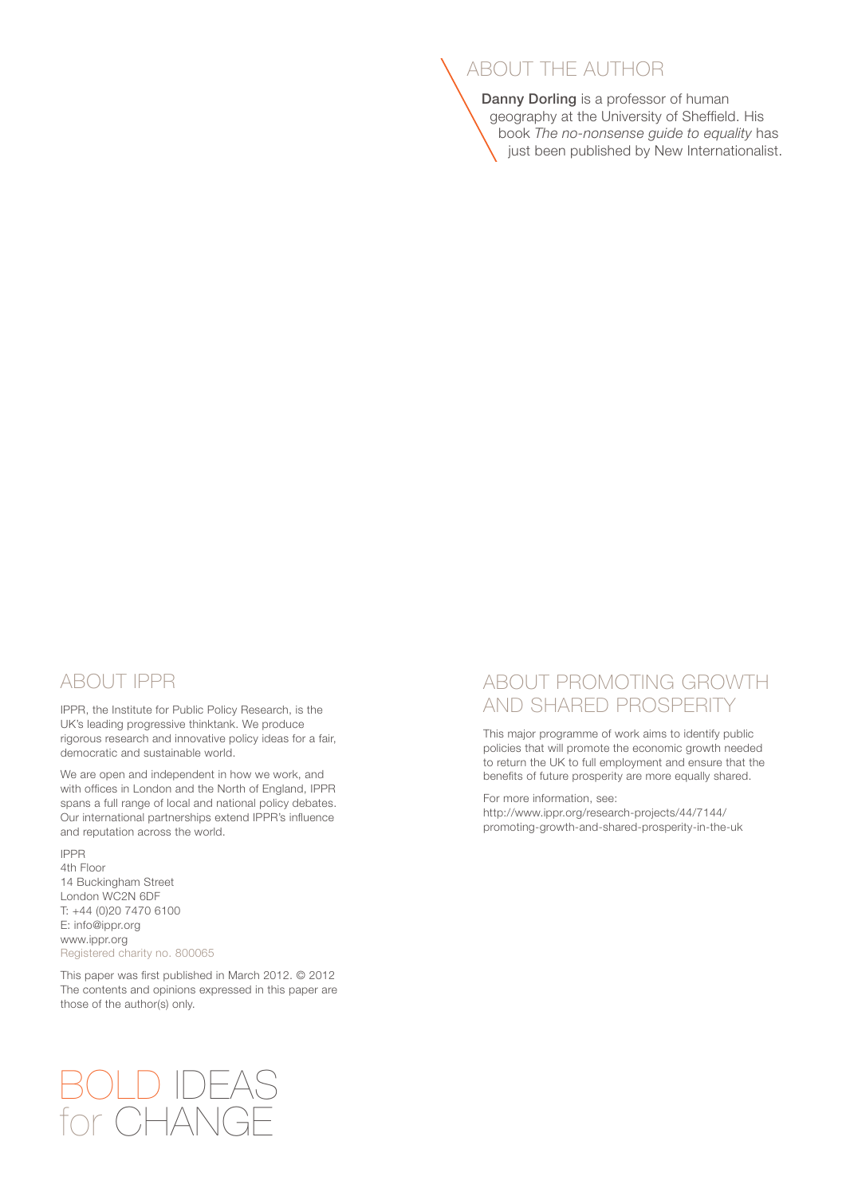# ABOUT THE AUTHOR

Danny Dorling is a professor of human geography at the University of Sheffield. His book *[The no-nonsense guide to equality](http://www.newint.org/books/no-nonsense-guides/equality/)* has just been published by [New Internationalist.](http://www.newint.org/books/no-nonsense-guides/equality/)

### ABOUT IPPR

IPPR, the Institute for Public Policy Research, is the UK's leading progressive thinktank. We produce rigorous research and innovative policy ideas for a fair, democratic and sustainable world.

We are open and independent in how we work, and with offices in London and the North of England, IPPR spans a full range of local and national policy debates. Our international partnerships extend IPPR's influence and reputation across the world.

IPPR 4th Floor 14 Buckingham Street London WC2N 6DF T: +44 (0)20 7470 6100 E: info@ippr.org www.ippr.org Registered charity no. 800065

This paper was first published in March 2012. © 2012 The contents and opinions expressed in this paper are those of the author(s) only.

# BOLD IDEAS for CHANGE

## ABOUT PROMOTING GROWTH AND SHARED PROSPERITY

This major programme of work aims to identify public policies that will promote the economic growth needed to return the UK to full employment and ensure that the benefits of future prosperity are more equally shared.

For more information, see:

http://www.ippr.org/research-projects/44/7144/ promoting-growth-and-shared-prosperity-in-the-uk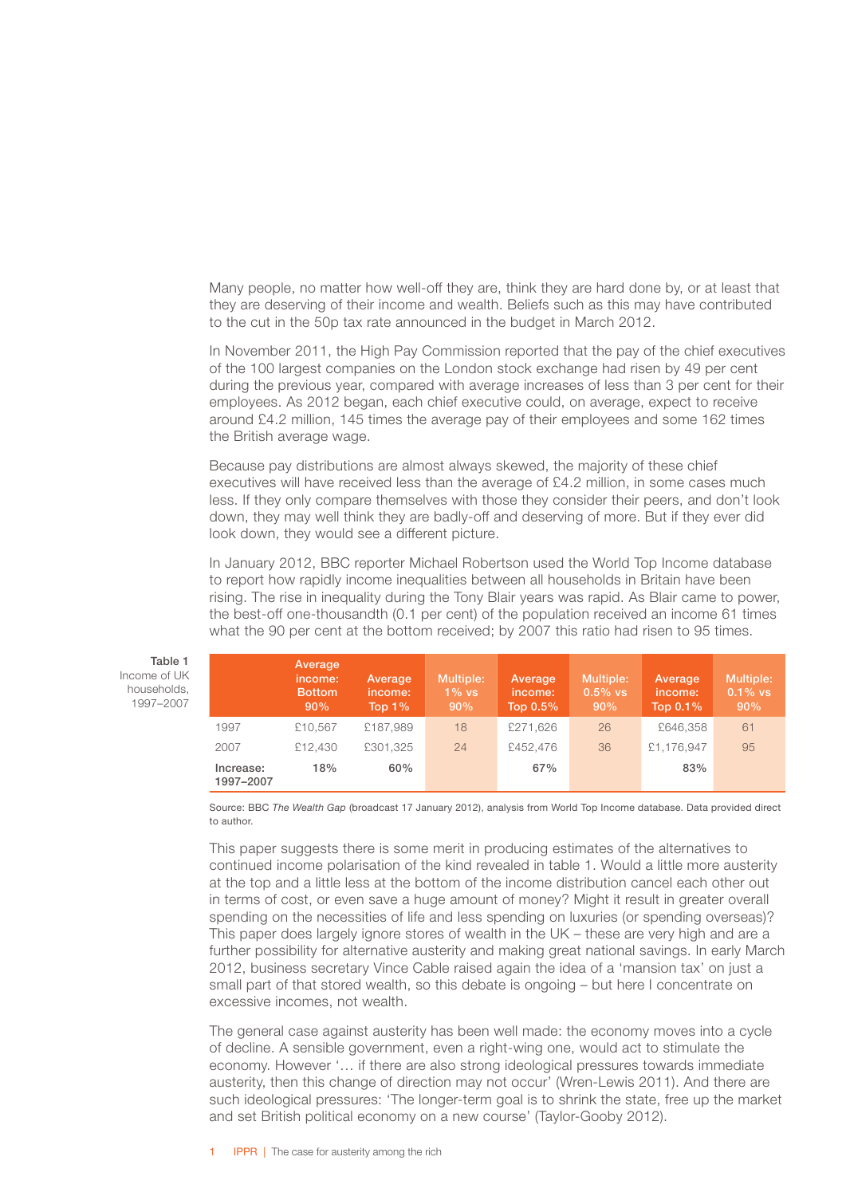Many people, no matter how well-off they are, think they are hard done by, or at least that they are deserving of their income and wealth. Beliefs such as this may have contributed to the cut in the 50p tax rate announced in the budget in March 2012.

In November 2011, the High Pay Commission reported that the pay of the chief executives of the 100 largest companies on the London stock exchange had risen by 49 per cent during the previous year, compared with average increases of less than 3 per cent for their employees. As 2012 began, each chief executive could, on average, expect to receive around £4.2 million, 145 times the average pay of their employees and some 162 times the British average wage.

Because pay distributions are almost always skewed, the majority of these chief executives will have received less than the average of £4.2 million, in some cases much less. If they only compare themselves with those they consider their peers, and don't look down, they may well think they are badly-off and deserving of more. But if they ever did look down, they would see a different picture.

In January 2012, BBC reporter Michael Robertson used the World Top Income database to report how rapidly income inequalities between all households in Britain have been rising. The rise in inequality during the Tony Blair years was rapid. As Blair came to power, the best-off one-thousandth (0.1 per cent) of the population received an income 61 times what the 90 per cent at the bottom received; by 2007 this ratio had risen to 95 times.

|                        | Average<br>income:<br><b>Bottom</b><br>90% | Average<br>income:<br>Top $1\%$ | Multiple:<br>$1\%$ vs<br>90% | Average<br>income:<br>Top $0.5\%$ | Multiple:<br>$0.5%$ vs<br>90% | Average<br>income:<br>Top $0.1\%$ | <b>Multiple:</b><br>$0.1\%$ vs<br>90% |
|------------------------|--------------------------------------------|---------------------------------|------------------------------|-----------------------------------|-------------------------------|-----------------------------------|---------------------------------------|
| 1997                   | £10.567                                    | £187.989                        | 18                           | £271.626                          | 26                            | £646,358                          | 61                                    |
| 2007                   | £12,430                                    | £301.325                        | 24                           | £452.476                          | 36                            | £1.176.947                        | 95                                    |
| Increase:<br>1997-2007 | 18%                                        | 60%                             |                              | 67%                               |                               | 83%                               |                                       |

Source: BBC *The Wealth Gap* (broadcast 17 January 2012), analysis from World Top Income database. Data provided direct to author.

This paper suggests there is some merit in producing estimates of the alternatives to continued income polarisation of the kind revealed in table 1. Would a little more austerity at the top and a little less at the bottom of the income distribution cancel each other out in terms of cost, or even save a huge amount of money? Might it result in greater overall spending on the necessities of life and less spending on luxuries (or spending overseas)? This paper does largely ignore stores of wealth in the UK – these are very high and are a further possibility for alternative austerity and making great national savings. In early March 2012, business secretary Vince Cable raised again the idea of a 'mansion tax' on just a small part of that stored wealth, so this debate is ongoing – but here I concentrate on excessive incomes, not wealth.

The general case against austerity has been well made: the economy moves into a cycle of decline. A sensible government, even a right-wing one, would act to stimulate the economy. However '… if there are also strong ideological pressures towards immediate austerity, then this change of direction may not occur' (Wren-Lewis 2011). And there are such ideological pressures: 'The longer-term goal is to shrink the state, free up the market and set British political economy on a new course' (Taylor-Gooby 2012).

Table 1 Income of UK households, 1997–2007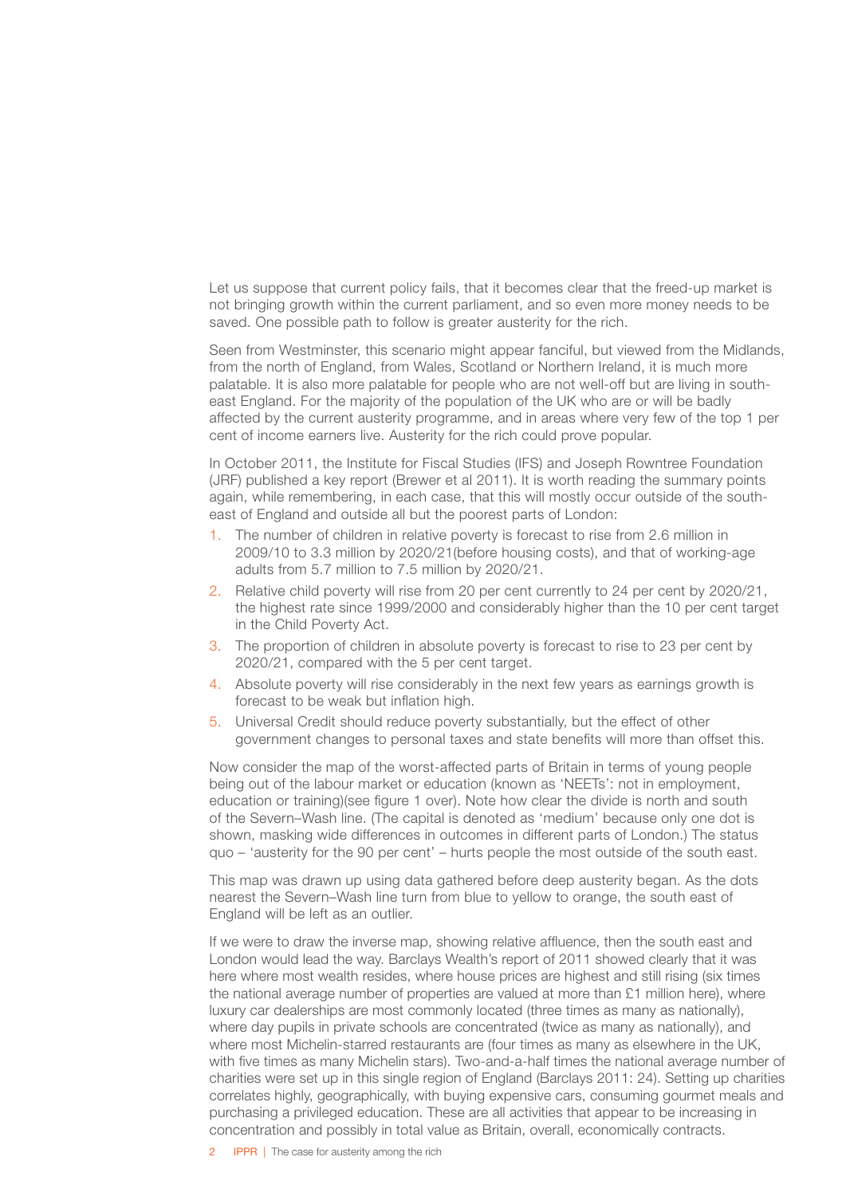Let us suppose that current policy fails, that it becomes clear that the freed-up market is not bringing growth within the current parliament, and so even more money needs to be saved. One possible path to follow is greater austerity for the rich.

Seen from Westminster, this scenario might appear fanciful, but viewed from the Midlands, from the north of England, from Wales, Scotland or Northern Ireland, it is much more palatable. It is also more palatable for people who are not well-off but are living in southeast England. For the majority of the population of the UK who are or will be badly affected by the current austerity programme, and in areas where very few of the top 1 per cent of income earners live. Austerity for the rich could prove popular.

In October 2011, the Institute for Fiscal Studies (IFS) and Joseph Rowntree Foundation (JRF) published a key report (Brewer et al 2011). It is worth reading the summary points again, while remembering, in each case, that this will mostly occur outside of the southeast of England and outside all but the poorest parts of London:

- 1. The number of children in relative poverty is forecast to rise from 2.6 million in 2009/10 to 3.3 million by 2020/21(before housing costs), and that of working-age adults from 5.7 million to 7.5 million by 2020/21.
- 2. Relative child poverty will rise from 20 per cent currently to 24 per cent by 2020/21, the highest rate since 1999/2000 and considerably higher than the 10 per cent target in the Child Poverty Act.
- 3. The proportion of children in absolute poverty is forecast to rise to 23 per cent by 2020/21, compared with the 5 per cent target.
- 4. Absolute poverty will rise considerably in the next few years as earnings growth is forecast to be weak but inflation high.
- 5. Universal Credit should reduce poverty substantially, but the effect of other government changes to personal taxes and state benefits will more than offset this.

Now consider the map of the worst-affected parts of Britain in terms of young people being out of the labour market or education (known as 'NEETs': not in employment, education or training)(see figure 1 over). Note how clear the divide is north and south of the Severn–Wash line. (The capital is denoted as 'medium' because only one dot is shown, masking wide differences in outcomes in different parts of London.) The status quo – 'austerity for the 90 per cent' – hurts people the most outside of the south east.

This map was drawn up using data gathered before deep austerity began. As the dots nearest the Severn–Wash line turn from blue to yellow to orange, the south east of England will be left as an outlier.

If we were to draw the inverse map, showing relative affluence, then the south east and London would lead the way. Barclays Wealth's report of 2011 showed clearly that it was here where most wealth resides, where house prices are highest and still rising (six times the national average number of properties are valued at more than £1 million here), where luxury car dealerships are most commonly located (three times as many as nationally), where day pupils in private schools are concentrated (twice as many as nationally), and where most Michelin-starred restaurants are (four times as many as elsewhere in the UK, with five times as many Michelin stars). Two-and-a-half times the national average number of charities were set up in this single region of England (Barclays 2011: 24). Setting up charities correlates highly, geographically, with buying expensive cars, consuming gourmet meals and purchasing a privileged education. These are all activities that appear to be increasing in concentration and possibly in total value as Britain, overall, economically contracts.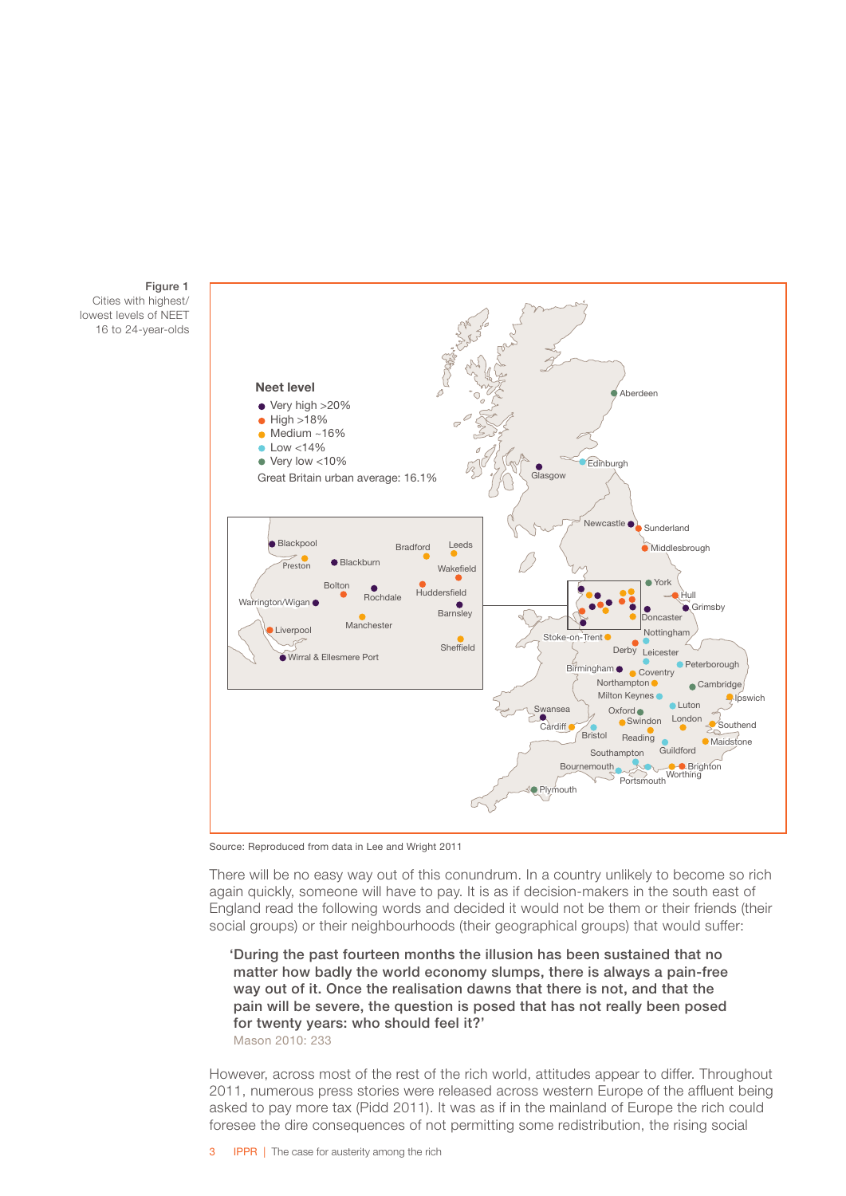



Source: Reproduced from data in Lee and Wright 2011

There will be no easy way out of this conundrum. In a country unlikely to become so rich again quickly, someone will have to pay. It is as if decision-makers in the south east of England read the following words and decided it would not be them or their friends (their social groups) or their neighbourhoods (their geographical groups) that would suffer:

'During the past fourteen months the illusion has been sustained that no matter how badly the world economy slumps, there is always a pain-free way out of it. Once the realisation dawns that there is not, and that the pain will be severe, the question is posed that has not really been posed for twenty years: who should feel it?' Mason 2010: 233

However, across most of the rest of the rich world, attitudes appear to differ. Throughout 2011, numerous press stories were released across western Europe of the affluent being asked to pay more tax (Pidd 2011). It was as if in the mainland of Europe the rich could foresee the dire consequences of not permitting some redistribution, the rising social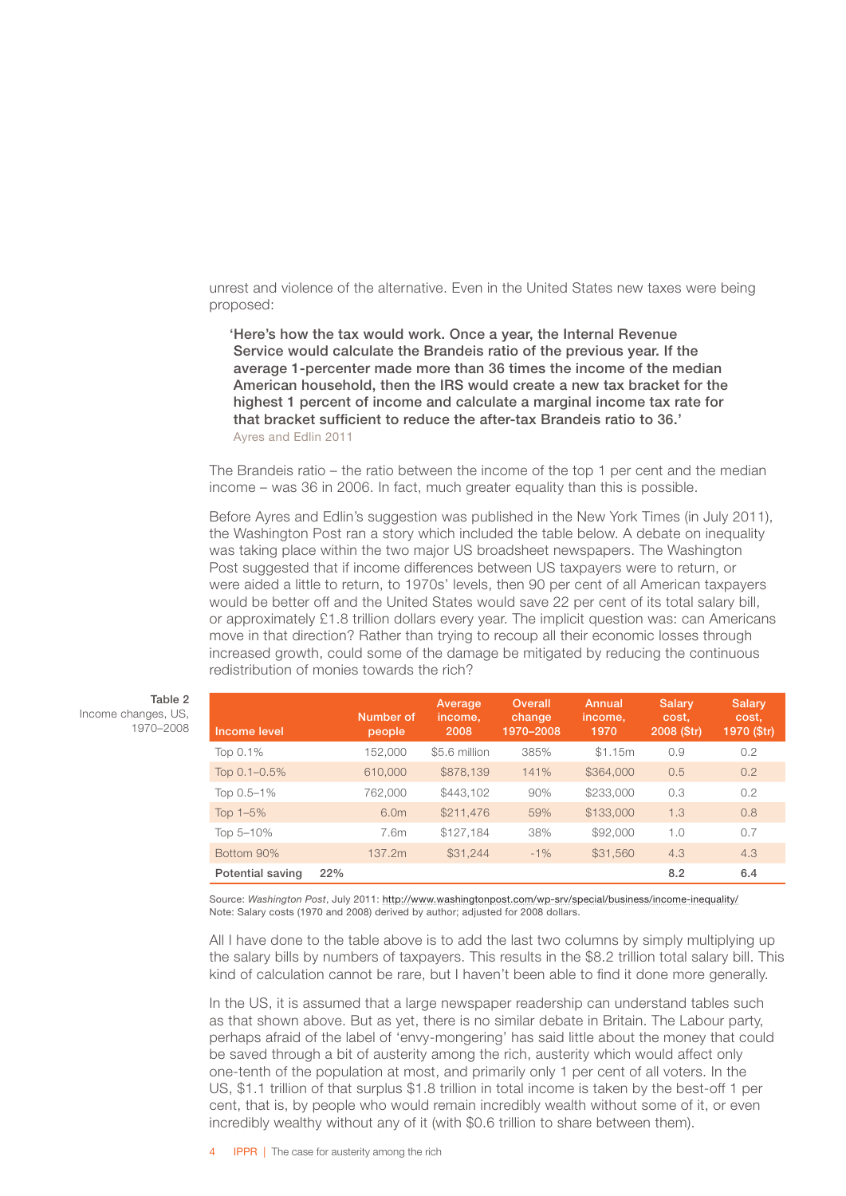unrest and violence of the alternative. Even in the United States new taxes were being proposed:

'Here's how the tax would work. Once a year, the Internal Revenue Service would calculate the Brandeis ratio of the previous year. If the average 1-percenter made more than 36 times the income of the median American household, then the IRS would create a new tax bracket for the highest 1 percent of income and calculate a marginal income tax rate for that bracket sufficient to reduce the after-tax Brandeis ratio to 36.' Ayres and Edlin 2011

The Brandeis ratio – the ratio between the income of the top 1 per cent and the median income – was 36 in 2006. In fact, much greater equality than this is possible.

Before Ayres and Edlin's suggestion was published in the New York Times (in July 2011), the Washington Post ran a story which included the table below. A debate on inequality was taking place within the two major US broadsheet newspapers. The Washington Post suggested that if income differences between US taxpayers were to return, or were aided a little to return, to 1970s' levels, then 90 per cent of all American taxpayers would be better off and the United States would save 22 per cent of its total salary bill, or approximately £1.8 trillion dollars every year. The implicit question was: can Americans move in that direction? Rather than trying to recoup all their economic losses through increased growth, could some of the damage be mitigated by reducing the continuous redistribution of monies towards the rich?

| Income level      |     | Number of<br>people | Average<br>income,<br>2008 | Overall<br>change<br>1970-2008 | Annual<br>income,<br>1970 | <b>Salary</b><br>cost,<br>2008 (Str) | <b>Salary</b><br>cost,<br>1970 (\$tr) |
|-------------------|-----|---------------------|----------------------------|--------------------------------|---------------------------|--------------------------------------|---------------------------------------|
| Top 0.1%          |     | 152,000             | \$5.6 million              | 385%                           | \$1.15m                   | 0.9                                  | 0.2                                   |
| Top $0.1 - 0.5\%$ |     | 610,000             | \$878,139                  | 141%                           | \$364,000                 | 0.5                                  | 0.2                                   |
| Top 0.5-1%        |     | 762,000             | \$443,102                  | 90%                            | \$233,000                 | 0.3                                  | 0.2                                   |
| Top $1-5%$        |     | 6.0m                | \$211,476                  | 59%                            | \$133,000                 | 1.3                                  | 0.8                                   |
| Top 5-10%         |     | 7.6m                | \$127,184                  | 38%                            | \$92,000                  | 1.0                                  | 0.7                                   |
| Bottom 90%        |     | 137.2m              | \$31,244                   | $-1%$                          | \$31,560                  | 4.3                                  | 4.3                                   |
| Potential saving  | 22% |                     |                            |                                |                           | 8.2                                  | 6.4                                   |

Source: *Washington Post*, July 2011:<http://www.washingtonpost.com/wp-srv/special/business/income-inequality/> Note: Salary costs (1970 and 2008) derived by author; adjusted for 2008 dollars.

All I have done to the table above is to add the last two columns by simply multiplying up the salary bills by numbers of taxpayers. This results in the \$8.2 trillion total salary bill. This kind of calculation cannot be rare, but I haven't been able to find it done more generally.

In the US, it is assumed that a large newspaper readership can understand tables such as that shown above. But as yet, there is no similar debate in Britain. The Labour party, perhaps afraid of the label of 'envy-mongering' has said little about the money that could be saved through a bit of austerity among the rich, austerity which would affect only one-tenth of the population at most, and primarily only 1 per cent of all voters. In the US, \$1.1 trillion of that surplus \$1.8 trillion in total income is taken by the best-off 1 per cent, that is, by people who would remain incredibly wealth without some of it, or even incredibly wealthy without any of it (with \$0.6 trillion to share between them).

Table 2 Income changes, US, 1970–2008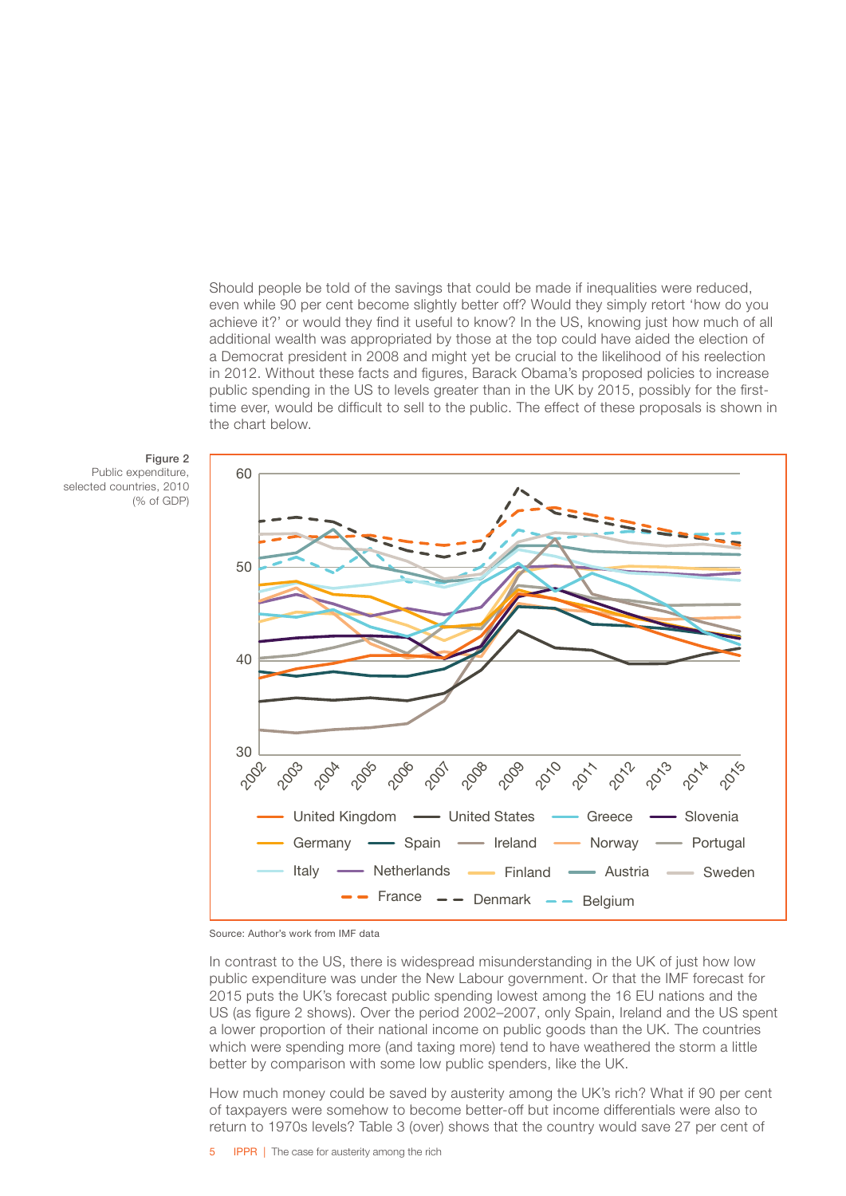Should people be told of the savings that could be made if inequalities were reduced, even while 90 per cent become slightly better off? Would they simply retort 'how do you achieve it?' or would they find it useful to know? In the US, knowing just how much of all additional wealth was appropriated by those at the top could have aided the election of a Democrat president in 2008 and might yet be crucial to the likelihood of his reelection in 2012. Without these facts and figures, Barack Obama's proposed policies to increase public spending in the US to levels greater than in the UK by 2015, possibly for the firsttime ever, would be difficult to sell to the public. The effect of these proposals is shown in the chart below.



Public expenditure, selected countries, 2010 (% of GDP)





In contrast to the US, there is widespread misunderstanding in the UK of just how low public expenditure was under the New Labour government. Or that the IMF forecast for 2015 puts the UK's forecast public spending lowest among the 16 EU nations and the US (as figure 2 shows). Over the period 2002–2007, only Spain, Ireland and the US spent a lower proportion of their national income on public goods than the UK. The countries which were spending more (and taxing more) tend to have weathered the storm a little better by comparison with some low public spenders, like the UK.

How much money could be saved by austerity among the UK's rich? What if 90 per cent of taxpayers were somehow to become better-off but income differentials were also to return to 1970s levels? Table 3 (over) shows that the country would save 27 per cent of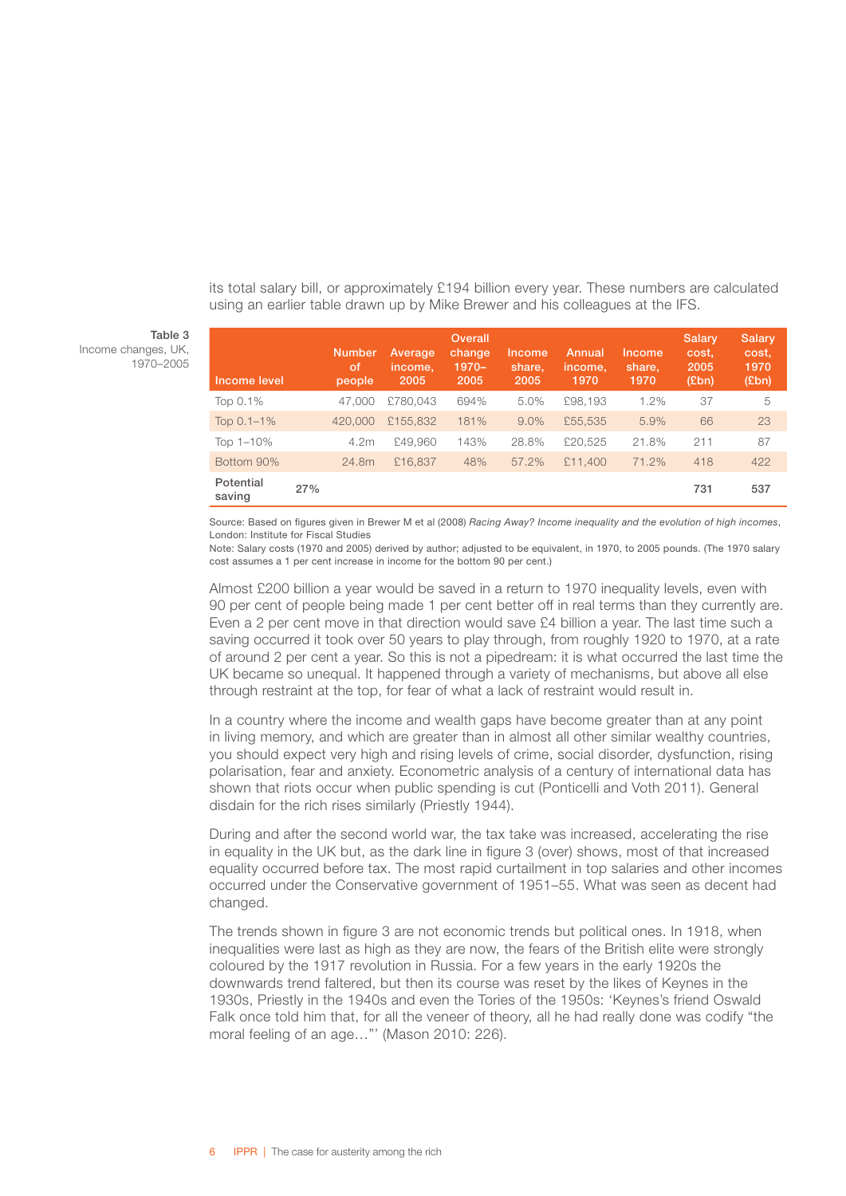its total salary bill, or approximately £194 billion every year. These numbers are calculated using an earlier table drawn up by Mike Brewer and his colleagues at the IFS.

#### Table 3 Income changes, UK,

1970–2005

| Income level        |     | <b>Number</b><br>of<br>people | Average<br>income.<br>2005 | Overall<br>change<br>$1970 -$<br>2005 | Income<br>share.<br>2005 | Annual<br>income.<br>1970 | Income<br>share,<br>1970 | Salary<br>cost,<br>2005<br>(Ebn) | Salary<br>cost,<br>1970<br>(Ebn) |
|---------------------|-----|-------------------------------|----------------------------|---------------------------------------|--------------------------|---------------------------|--------------------------|----------------------------------|----------------------------------|
| Top 0.1%            |     | 47,000                        | £780.043                   | 694%                                  | 5.0%                     | £98,193                   | 1.2%                     | 37                               | 5                                |
| Top $0.1 - 1\%$     |     | 420,000                       | £155,832                   | 181%                                  | $9.0\%$                  | £55,535                   | 5.9%                     | 66                               | 23                               |
| Top 1-10%           |     | 4.2m                          | £49.960                    | 143%                                  | 28.8%                    | £20,525                   | 21.8%                    | 211                              | 87                               |
| Bottom 90%          |     | 24.8m                         | £16,837                    | 48%                                   | 57.2%                    | £11,400                   | 71.2%                    | 418                              | 422                              |
| Potential<br>saving | 27% |                               |                            |                                       |                          |                           |                          | 731                              | 537                              |

Source: Based on figures given in Brewer M et al (2008) *Racing Away? Income inequality and the evolution of high incomes*, London: Institute for Fiscal Studies

Note: Salary costs (1970 and 2005) derived by author; adjusted to be equivalent, in 1970, to 2005 pounds. (The 1970 salary cost assumes a 1 per cent increase in income for the bottom 90 per cent.)

Almost £200 billion a year would be saved in a return to 1970 inequality levels, even with 90 per cent of people being made 1 per cent better off in real terms than they currently are. Even a 2 per cent move in that direction would save £4 billion a year. The last time such a saving occurred it took over 50 years to play through, from roughly 1920 to 1970, at a rate of around 2 per cent a year. So this is not a pipedream: it is what occurred the last time the UK became so unequal. It happened through a variety of mechanisms, but above all else through restraint at the top, for fear of what a lack of restraint would result in.

In a country where the income and wealth gaps have become greater than at any point in living memory, and which are greater than in almost all other similar wealthy countries, you should expect very high and rising levels of crime, social disorder, dysfunction, rising polarisation, fear and anxiety. Econometric analysis of a century of international data has shown that riots occur when public spending is cut (Ponticelli and Voth 2011). General disdain for the rich rises similarly (Priestly 1944).

During and after the second world war, the tax take was increased, accelerating the rise in equality in the UK but, as the dark line in figure 3 (over) shows, most of that increased equality occurred before tax. The most rapid curtailment in top salaries and other incomes occurred under the Conservative government of 1951–55. What was seen as decent had changed.

The trends shown in figure 3 are not economic trends but political ones. In 1918, when inequalities were last as high as they are now, the fears of the British elite were strongly coloured by the 1917 revolution in Russia. For a few years in the early 1920s the downwards trend faltered, but then its course was reset by the likes of Keynes in the 1930s, Priestly in the 1940s and even the Tories of the 1950s: 'Keynes's friend Oswald Falk once told him that, for all the veneer of theory, all he had really done was codify "the moral feeling of an age…"' (Mason 2010: 226).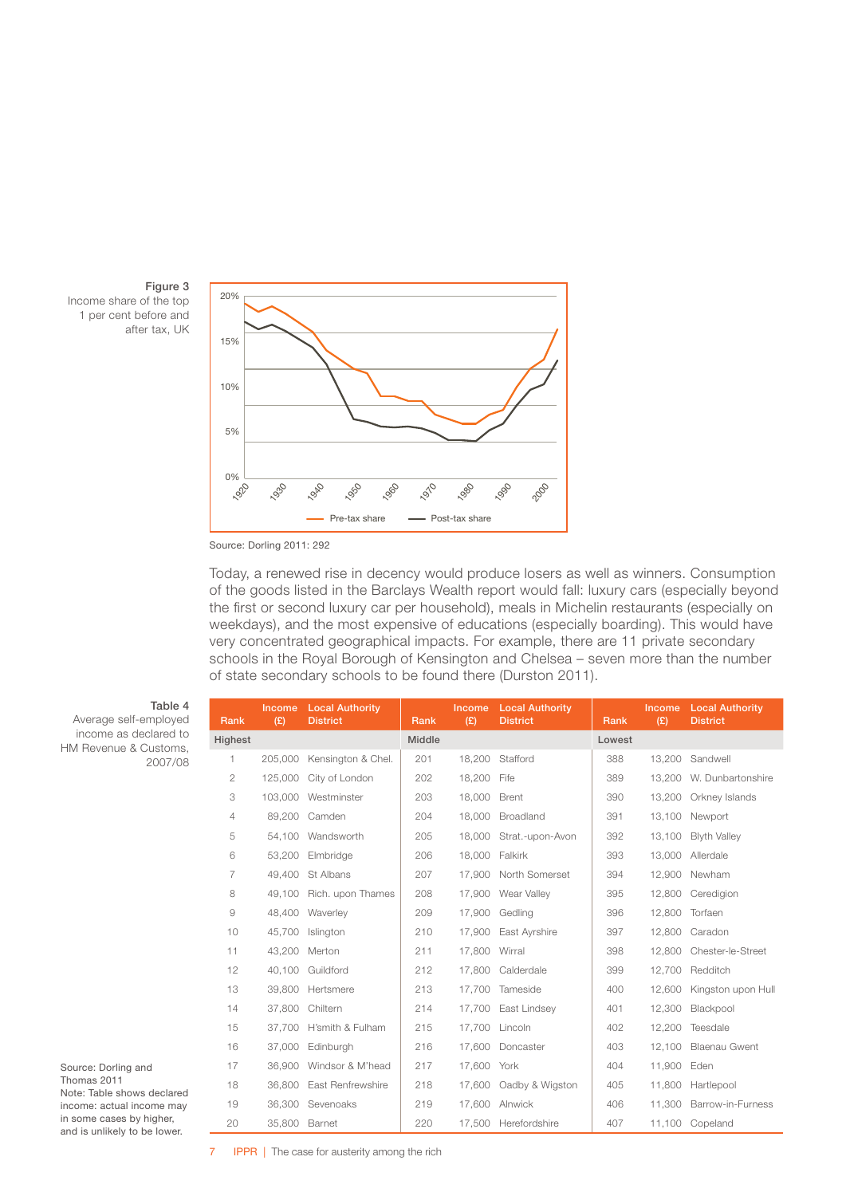



#### Source: Dorling 2011: 292

Today, a renewed rise in decency would produce losers as well as winners. Consumption of the goods listed in the Barclays Wealth report would fall: luxury cars (especially beyond the first or second luxury car per household), meals in Michelin restaurants (especially on weekdays), and the most expensive of educations (especially boarding). This would have very concentrated geographical impacts. For example, there are 11 private secondary schools in the Royal Borough of Kensington and Chelsea – seven more than the number of state secondary schools to be found there (Durston 2011).

| Table 4<br>Average self-employed                         | Rank           | Income<br>(E) | <b>Local Authority</b><br><b>District</b> | Rank   | <b>Income</b><br>(E) | <b>Local Authority</b><br><b>District</b> | Rank   | (E)    | Income Local Authority<br><b>District</b> |
|----------------------------------------------------------|----------------|---------------|-------------------------------------------|--------|----------------------|-------------------------------------------|--------|--------|-------------------------------------------|
| income as declared to<br>HM Revenue & Customs,           | Highest        |               |                                           | Middle |                      |                                           | Lowest |        |                                           |
| 2007/08                                                  | 1.             | 205,000       | Kensington & Chel.                        | 201    | 18,200               | Stafford                                  | 388    | 13,200 | Sandwell                                  |
|                                                          | $\overline{2}$ | 125,000       | City of London                            | 202    | 18,200               | Fife                                      | 389    |        | 13.200 W. Dunbartonshire                  |
|                                                          | 3              |               | 103.000 Westminster                       | 203    | 18,000               | Brent                                     | 390    |        | 13,200 Orkney Islands                     |
|                                                          | $\overline{4}$ | 89,200        | Camden                                    | 204    | 18,000               | Broadland                                 | 391    |        | 13,100 Newport                            |
|                                                          | 5              |               | 54,100 Wandsworth                         | 205    |                      | 18,000 Strat.-upon-Avon                   | 392    | 13.100 | <b>Blyth Valley</b>                       |
|                                                          | 6              | 53,200        | Elmbridge                                 | 206    | 18,000               | Falkirk                                   | 393    | 13,000 | Allerdale                                 |
|                                                          | 7              | 49,400        | St Albans                                 | 207    | 17,900               | North Somerset                            | 394    |        | 12,900 Newham                             |
|                                                          | 8              | 49.100        | Rich. upon Thames                         | 208    |                      | 17,900 Wear Valley                        | 395    |        | 12,800 Ceredigion                         |
|                                                          | 9              | 48,400        | Waverley                                  | 209    | 17,900               | Gedling                                   | 396    | 12,800 | Torfaen                                   |
|                                                          | 10             | 45,700        | Islington                                 | 210    | 17,900               | East Ayrshire                             | 397    | 12,800 | Caradon                                   |
|                                                          | 11             |               | 43,200 Merton                             | 211    | 17,800               | Wirral                                    | 398    |        | 12.800 Chester-le-Street                  |
|                                                          | 12             | 40.100        | Guildford                                 | 212    | 17,800               | Calderdale                                | 399    | 12,700 | Redditch                                  |
|                                                          | 13             | 39,800        | Hertsmere                                 | 213    | 17,700               | Tameside                                  | 400    | 12,600 | Kingston upon Hull                        |
|                                                          | 14             | 37,800        | Chiltern                                  | 214    | 17.700               | East Lindsey                              | 401    | 12,300 | Blackpool                                 |
|                                                          | 15             | 37.700        | H'smith & Fulham                          | 215    | 17,700               | Lincoln                                   | 402    | 12,200 | Teesdale                                  |
|                                                          | 16             | 37,000        | Edinburgh                                 | 216    |                      | 17,600 Doncaster                          | 403    | 12,100 | <b>Blaenau Gwent</b>                      |
| Source: Dorling and                                      | 17             | 36,900        | Windsor & M'head                          | 217    | 17,600               | York                                      | 404    | 11,900 | Eden                                      |
| Thomas 2011<br>Note: Table shows declared                | 18             | 36,800        | East Renfrewshire                         | 218    | 17,600               | Oadby & Wigston                           | 405    | 11,800 | Hartlepool                                |
| income: actual income may                                | 19             |               | 36,300 Sevenoaks                          | 219    |                      | 17,600 Alnwick                            | 406    |        | 11,300 Barrow-in-Furness                  |
| in some cases by higher,<br>and is unlikely to be lower. | 20             | 35,800 Barnet |                                           | 220    |                      | 17.500 Herefordshire                      | 407    |        | 11,100 Copeland                           |

**7** IPPR | The case for austerity among the rich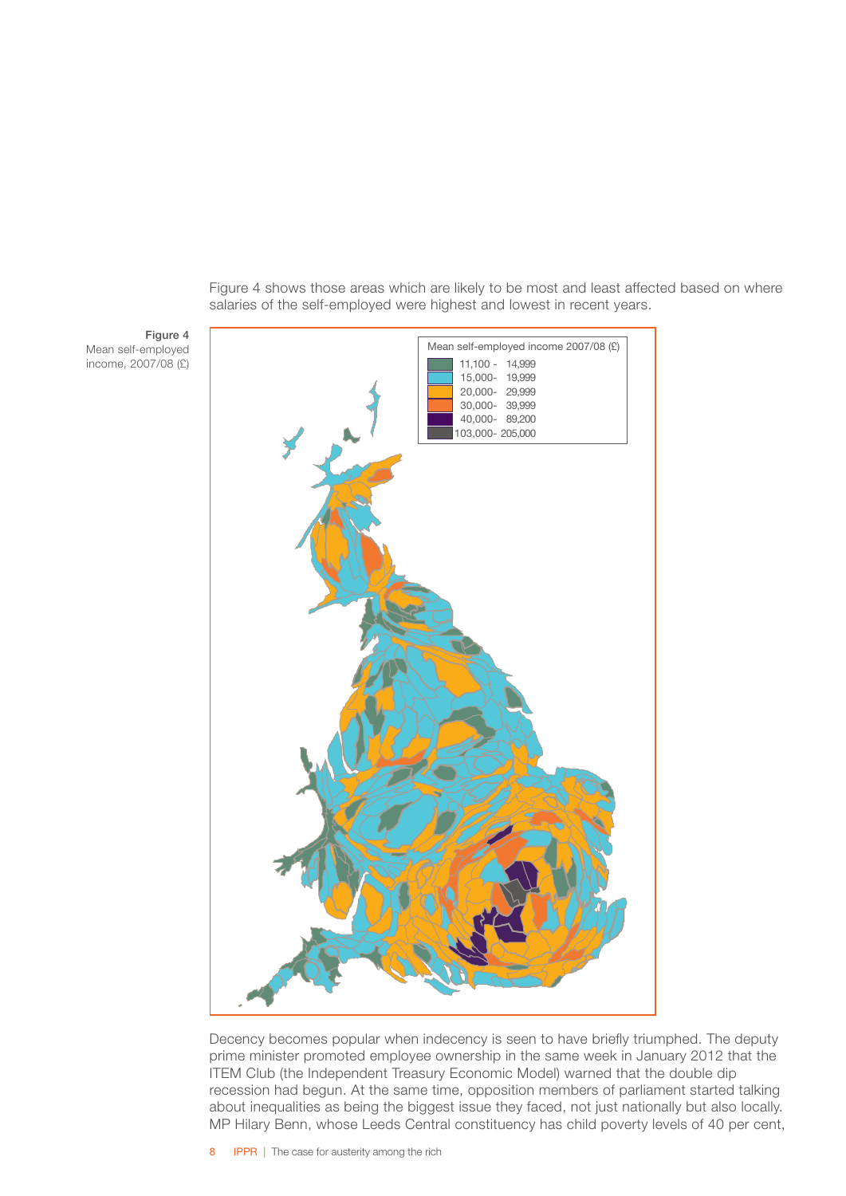11,100 - 14,999 15,000- 19,999 20,000- 29,999 30,000- 39,999 40,000- 89,200 103,000- 205,000 Mean self-employed income 2007/08 (£)

Figure 4 shows those areas which are likely to be most and least affected based on where salaries of the self-employed were highest and lowest in recent years.

Decency becomes popular when indecency is seen to have briefly triumphed. The deputy prime minister promoted employee ownership in the same week in January 2012 that the ITEM Club (the Independent Treasury Economic Model) warned that the double dip recession had begun. At the same time, opposition members of parliament started talking about inequalities as being the biggest issue they faced, not just nationally but also locally. MP Hilary Benn, whose Leeds Central constituency has child poverty levels of 40 per cent,

Figure 4

Mean self-employed income, 2007/08 (£)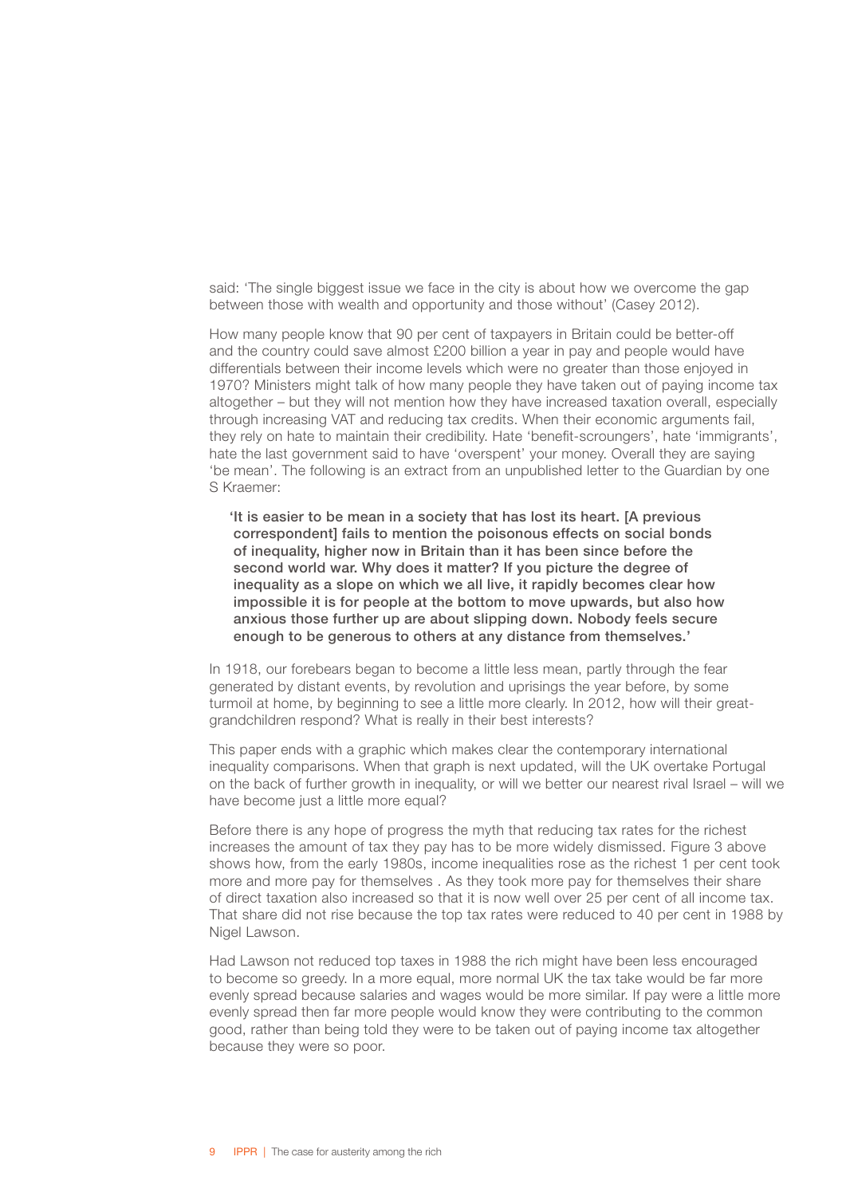said: 'The single biggest issue we face in the city is about how we overcome the gap between those with wealth and opportunity and those without' (Casey 2012).

How many people know that 90 per cent of taxpayers in Britain could be better-off and the country could save almost £200 billion a year in pay and people would have differentials between their income levels which were no greater than those enjoyed in 1970? Ministers might talk of how many people they have taken out of paying income tax altogether – but they will not mention how they have increased taxation overall, especially through increasing VAT and reducing tax credits. When their economic arguments fail, they rely on hate to maintain their credibility. Hate 'benefit-scroungers', hate 'immigrants', hate the last government said to have 'overspent' your money. Overall they are saying 'be mean'. The following is an extract from an unpublished letter to the Guardian by one S Kraemer:

'It is easier to be mean in a society that has lost its heart. [A previous correspondent] fails to mention the poisonous effects on social bonds of inequality, higher now in Britain than it has been since before the second world war. Why does it matter? If you picture the degree of inequality as a slope on which we all live, it rapidly becomes clear how impossible it is for people at the bottom to move upwards, but also how anxious those further up are about slipping down. Nobody feels secure enough to be generous to others at any distance from themselves.'

In 1918, our forebears began to become a little less mean, partly through the fear generated by distant events, by revolution and uprisings the year before, by some turmoil at home, by beginning to see a little more clearly. In 2012, how will their greatgrandchildren respond? What is really in their best interests?

This paper ends with a graphic which makes clear the contemporary international inequality comparisons. When that graph is next updated, will the UK overtake Portugal on the back of further growth in inequality, or will we better our nearest rival Israel – will we have become just a little more equal?

Before there is any hope of progress the myth that reducing tax rates for the richest increases the amount of tax they pay has to be more widely dismissed. Figure 3 above shows how, from the early 1980s, income inequalities rose as the richest 1 per cent took more and more pay for themselves . As they took more pay for themselves their share of direct taxation also increased so that it is now well over 25 per cent of all income tax. That share did not rise because the top tax rates were reduced to 40 per cent in 1988 by Nigel Lawson.

Had Lawson not reduced top taxes in 1988 the rich might have been less encouraged to become so greedy. In a more equal, more normal UK the tax take would be far more evenly spread because salaries and wages would be more similar. If pay were a little more evenly spread then far more people would know they were contributing to the common good, rather than being told they were to be taken out of paying income tax altogether because they were so poor.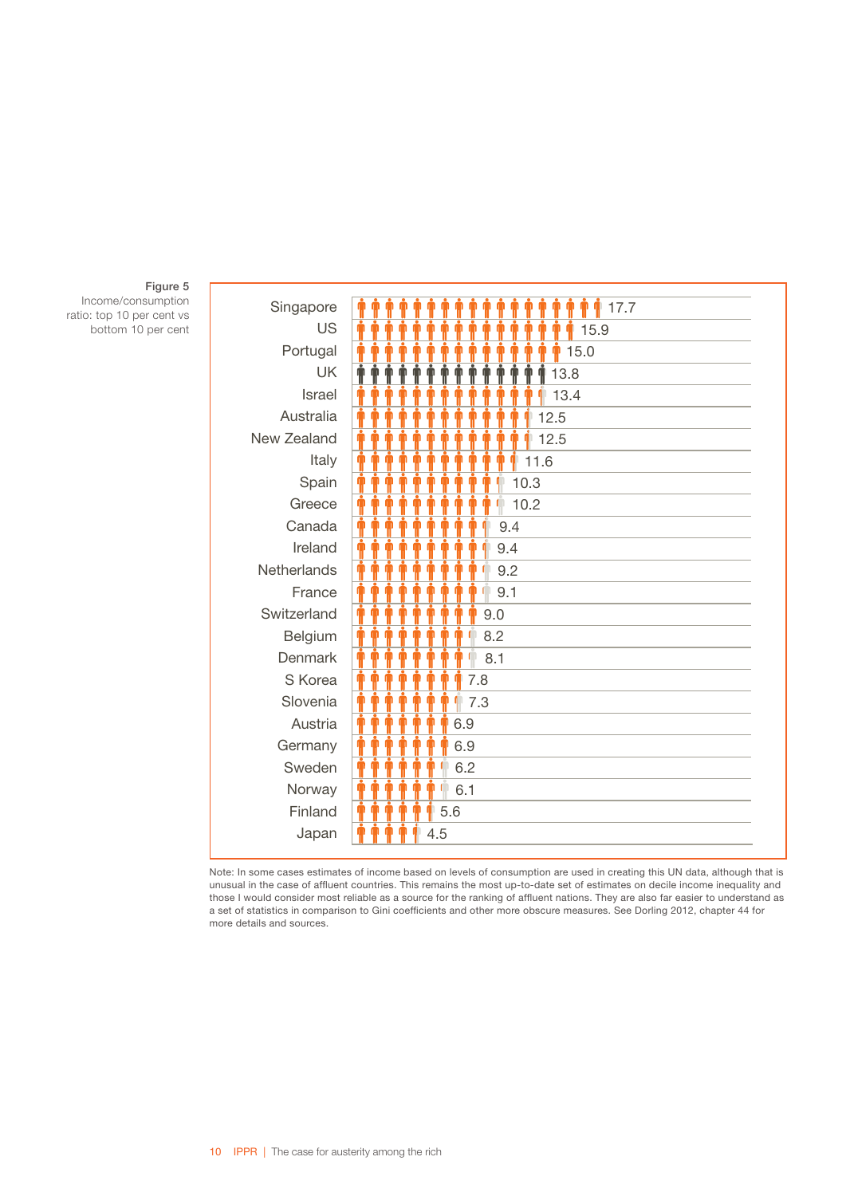| Singapore          | 17.7                                              |
|--------------------|---------------------------------------------------|
| <b>US</b>          | Φ<br>15.9                                         |
| Portugal           | 15.0<br>m                                         |
| <b>UK</b>          | 13.8<br>Ť<br>$\blacksquare$<br>T                  |
| Israel             | œ<br>13.4<br>¢<br>m                               |
| Australia          | ò<br>12.5                                         |
| New Zealand        | Ť<br>12.5                                         |
| Italy              | 11.6<br>M                                         |
| Spain              | Ť<br>Φ<br>O<br>O<br>Φ                             |
|                    | Ť<br>10.3<br>Ť<br>ò<br>ò<br>Ť<br>O<br>n<br>œ      |
| Greece<br>Canada   | 10.2<br>Ť<br>Φ<br>Œ<br>M                          |
|                    | 9.4<br>O                                          |
| Ireland            | Q<br>9.4                                          |
| <b>Netherlands</b> | $\blacksquare$<br>n<br>9.2                        |
| France             | Φ<br>O<br>O<br>9.1                                |
| Switzerland        | Ŵ<br>œ<br>Φ<br>m<br>O<br>m<br>Ω<br>9.0            |
| Belgium            | Ŵ<br>m<br>m<br>m<br>m<br>m<br>⋒<br>8.2<br>m       |
| Denmark            | Ф<br>$\blacksquare$<br>$\blacksquare$<br>8.1<br>m |
| S Korea            | Φ<br>m<br>m<br>7.8                                |
| Slovenia           | Φ<br>m<br>O<br>m<br>7.3                           |
| Austria            | Ŵ<br>m<br>6.9                                     |
| Germany            | ò<br>6.9                                          |
| Sweden             | Ф<br>O<br>6.2                                     |
| Norway             | $\blacksquare$<br>O<br>Φ<br>6.1                   |
| Finland            | O<br>5.6                                          |
| Japan              | Ω<br>4.5                                          |

Figure 5

Income/consumption ratio: top 10 per cent vs bottom 10 per cent

> Note: In some cases estimates of income based on levels of consumption are used in creating this UN data, although that is unusual in the case of affluent countries. This remains the most up-to-date set of estimates on decile income inequality and those I would consider most reliable as a source for the ranking of affluent nations. They are also far easier to understand as a set of statistics in comparison to Gini coefficients and other more obscure measures. See Dorling 2012, chapter 44 for more details and sources.